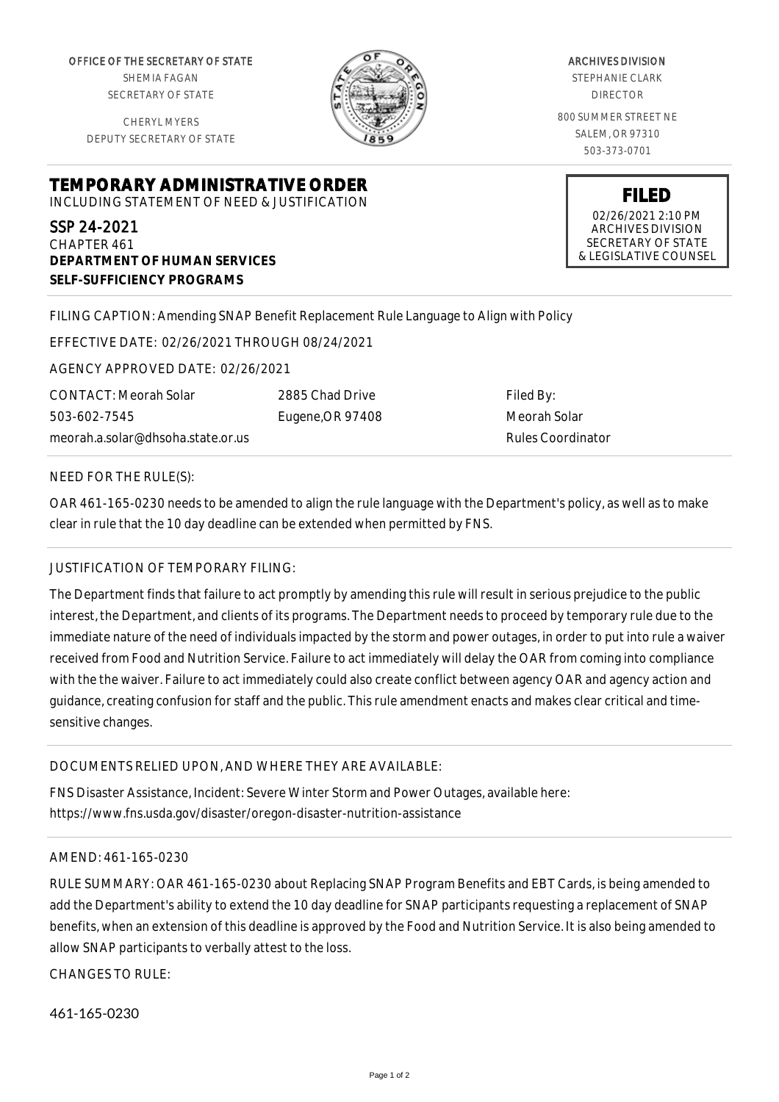OFFICE OF THE SECRETARY OF STATE SHEMIA FAGAN SECRETARY OF STATE

CHERYL MYERS DEPUTY SECRETARY OF STATE

**DEPARTMENT OF HUMAN SERVICES**

**SELF-SUFFICIENCY PROGRAMS**



ARCHIVES DIVISION STEPHANIE CLARK DIRECTOR 800 SUMMER STREET NE SALEM, OR 97310 503-373-0701

> **FILED** 02/26/2021 2:10 PM ARCHIVES DIVISION SECRETARY OF STATE & LEGISLATIVE COUNSEL

FILING CAPTION: Amending SNAP Benefit Replacement Rule Language to Align with Policy

EFFECTIVE DATE: 02/26/2021 THROUGH 08/24/2021

**TEMPORARY ADMINISTRATIVE ORDER** INCLUDING STATEMENT OF NEED & JUSTIFICATION

AGENCY APPROVED DATE: 02/26/2021

CONTACT: Meorah Solar 503-602-7545 meorah.a.solar@dhsoha.state.or.us 2885 Chad Drive Eugene,OR 97408

Filed By: Meorah Solar Rules Coordinator

## NEED FOR THE RULE(S):

SSP 24-2021 CHAPTER 461

OAR 461-165-0230 needs to be amended to align the rule language with the Department's policy, as well as to make clear in rule that the 10 day deadline can be extended when permitted by FNS.

## JUSTIFICATION OF TEMPORARY FILING:

The Department finds that failure to act promptly by amending this rule will result in serious prejudice to the public interest, the Department, and clients of its programs. The Department needs to proceed by temporary rule due to the immediate nature of the need of individuals impacted by the storm and power outages, in order to put into rule a waiver received from Food and Nutrition Service. Failure to act immediately will delay the OAR from coming into compliance with the the waiver. Failure to act immediately could also create conflict between agency OAR and agency action and guidance, creating confusion for staff and the public. This rule amendment enacts and makes clear critical and timesensitive changes.

## DOCUMENTS RELIED UPON, AND WHERE THEY ARE AVAILABLE:

FNS Disaster Assistance, Incident: Severe Winter Storm and Power Outages, available here: https://www.fns.usda.gov/disaster/oregon-disaster-nutrition-assistance

## AMEND: 461-165-0230

RULE SUMMARY: OAR 461-165-0230 about Replacing SNAP Program Benefits and EBT Cards, is being amended to add the Department's ability to extend the 10 day deadline for SNAP participants requesting a replacement of SNAP benefits, when an extension of this deadline is approved by the Food and Nutrition Service. It is also being amended to allow SNAP participants to verbally attest to the loss.

CHANGES TO RULE:

461-165-0230